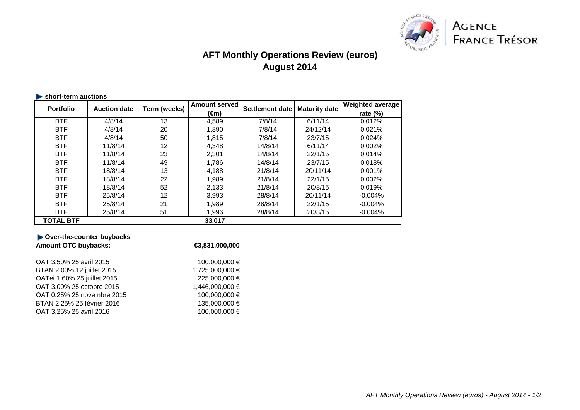

# **AFT Monthly Operations Review (euros)August 2014**

| short-term auctions |                     |              |                      |                        |                      |                         |  |  |
|---------------------|---------------------|--------------|----------------------|------------------------|----------------------|-------------------------|--|--|
| <b>Portfolio</b>    | <b>Auction date</b> | Term (weeks) | <b>Amount served</b> | <b>Settlement date</b> | <b>Maturity date</b> | <b>Weighted average</b> |  |  |
|                     |                     |              | (€m)                 |                        |                      | rate $(\%)$             |  |  |
| <b>BTF</b>          | 4/8/14              | 13           | 4,589                | 7/8/14                 | 6/11/14              | 0.012%                  |  |  |
| <b>BTF</b>          | 4/8/14              | 20           | 1.890                | 7/8/14                 | 24/12/14             | 0.021%                  |  |  |
| <b>BTF</b>          | 4/8/14              | 50           | 1,815                | 7/8/14                 | 23/7/15              | 0.024%                  |  |  |
| <b>BTF</b>          | 11/8/14             | 12           | 4,348                | 14/8/14                | 6/11/14              | 0.002%                  |  |  |
| <b>BTF</b>          | 11/8/14             | 23           | 2,301                | 14/8/14                | 22/1/15              | 0.014%                  |  |  |
| <b>BTF</b>          | 11/8/14             | 49           | 1.786                | 14/8/14                | 23/7/15              | 0.018%                  |  |  |
| <b>BTF</b>          | 18/8/14             | 13           | 4,188                | 21/8/14                | 20/11/14             | 0.001%                  |  |  |
| <b>BTF</b>          | 18/8/14             | 22           | 1.989                | 21/8/14                | 22/1/15              | 0.002%                  |  |  |
| <b>BTF</b>          | 18/8/14             | 52           | 2,133                | 21/8/14                | 20/8/15              | 0.019%                  |  |  |
| <b>BTF</b>          | 25/8/14             | 12           | 3,993                | 28/8/14                | 20/11/14             | $-0.004%$               |  |  |
| <b>BTF</b>          | 25/8/14             | 21           | 1.989                | 28/8/14                | 22/1/15              | $-0.004%$               |  |  |
| <b>BTF</b>          | 25/8/14             | 51           | 1,996                | 28/8/14                | 20/8/15              | $-0.004%$               |  |  |
| <b>TOTAL BTF</b>    |                     |              | 33,017               |                        |                      |                         |  |  |

| €3,831,000,000  |  |  |
|-----------------|--|--|
| 100,000,000 €   |  |  |
| 1,725,000,000 € |  |  |
| 225,000,000 €   |  |  |
| 1,446,000,000 € |  |  |
| 100,000,000 €   |  |  |
| 135,000,000 €   |  |  |
| 100,000,000 €   |  |  |
|                 |  |  |